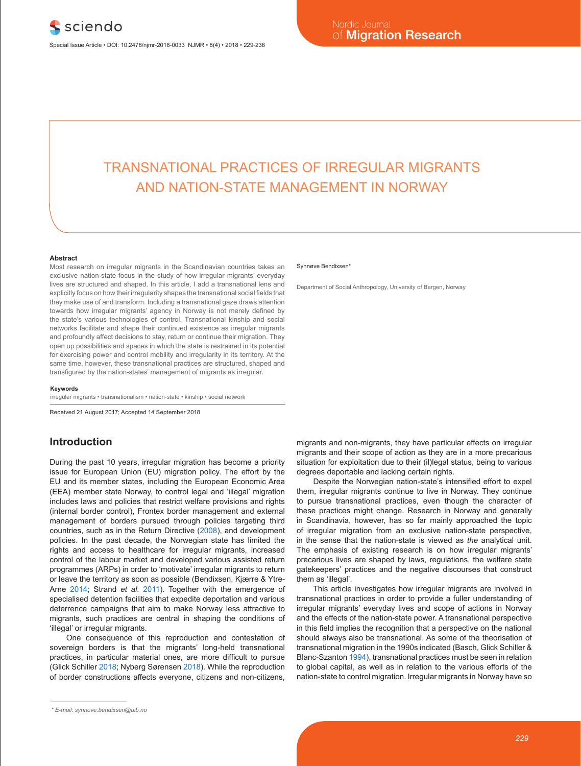# TRANSNATIONAL PRACTICES OF IRREGULAR MIGRANTS AND NATION-STATE MANAGEMENT IN NORWAY

#### **Abstract**

Most research on irregular migrants in the Scandinavian countries takes an exclusive nation-state focus in the study of how irregular migrants' everyday lives are structured and shaped. In this article, I add a transnational lens and explicitly focus on how their irregularity shapes the transnational social fields that they make use of and transform. Including a transnational gaze draws attention towards how irregular migrants' agency in Norway is not merely defined by the state's various technologies of control. Transnational kinship and social networks facilitate and shape their continued existence as irregular migrants and profoundly affect decisions to stay, return or continue their migration. They open up possibilities and spaces in which the state is restrained in its potential for exercising power and control mobility and irregularity in its territory. At the same time, however, these transnational practices are structured, shaped and transfigured by the nation-states' management of migrants as irregular.

#### **Keywords**

irregular migrants • transnationalism • nation-state • kinship • social network

Received 21 August 2017; Accepted 14 September 2018

### **Introduction**

During the past 10 years, irregular migration has become a priority issue for European Union (EU) migration policy. The effort by the EU and its member states, including the European Economic Area (EEA) member state Norway, to control legal and 'illegal' migration includes laws and policies that restrict welfare provisions and rights (internal border control), Frontex border management and external management of borders pursued through policies targeting third countries, such as in the Return Directive (2008), and development policies. In the past decade, the Norwegian state has limited the rights and access to healthcare for irregular migrants, increased control of the labour market and developed various assisted return programmes (ARPs) in order to 'motivate' irregular migrants to return or leave the territory as soon as possible (Bendixsen, Kjærre & Ytre-Arne 2014; Strand *et al*. 2011). Together with the emergence of specialised detention facilities that expedite deportation and various deterrence campaigns that aim to make Norway less attractive to migrants, such practices are central in shaping the conditions of 'illegal' or irregular migrants.

One consequence of this reproduction and contestation of sovereign borders is that the migrants' long-held transnational practices, in particular material ones, are more difficult to pursue (Glick Schiller 2018; Nyberg Sørensen 2018). While the reproduction of border constructions affects everyone, citizens and non-citizens,

#### Synnøve Bendixsen\*

Department of Social Anthropology, University of Bergen, Norway

migrants and non-migrants, they have particular effects on irregular migrants and their scope of action as they are in a more precarious situation for exploitation due to their (il)legal status, being to various degrees deportable and lacking certain rights.

Despite the Norwegian nation-state's intensified effort to expel them, irregular migrants continue to live in Norway. They continue to pursue transnational practices, even though the character of these practices might change. Research in Norway and generally in Scandinavia, however, has so far mainly approached the topic of irregular migration from an exclusive nation-state perspective, in the sense that the nation-state is viewed as *the* analytical unit. The emphasis of existing research is on how irregular migrants' precarious lives are shaped by laws, regulations, the welfare state gatekeepers' practices and the negative discourses that construct them as 'illegal'.

This article investigates how irregular migrants are involved in transnational practices in order to provide a fuller understanding of irregular migrants' everyday lives and scope of actions in Norway and the effects of the nation-state power. A transnational perspective in this field implies the recognition that a perspective on the national should always also be transnational. As some of the theorisation of transnational migration in the 1990s indicated (Basch, Glick Schiller & Blanc-Szanton 1994), transnational practices must be seen in relation to global capital, as well as in relation to the various efforts of the nation-state to control migration. Irregular migrants in Norway have so

*<sup>\*</sup> E-mail: synnove.bendixsen@uib.no*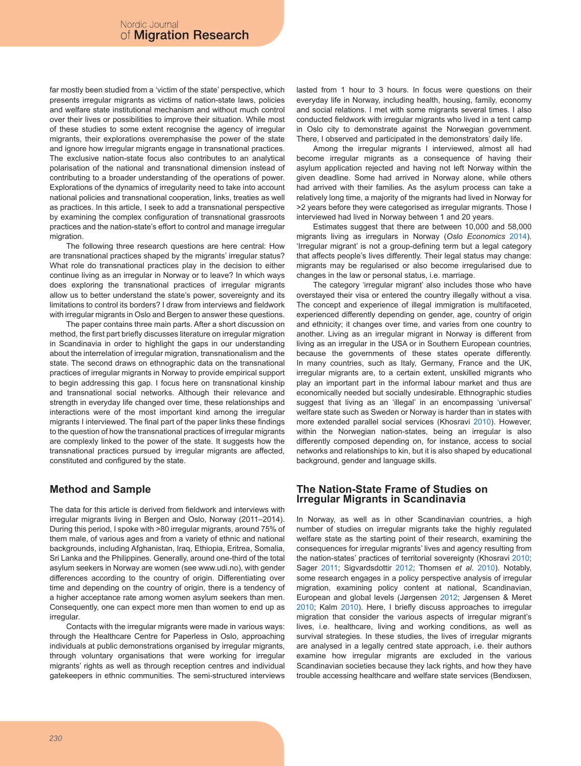far mostly been studied from a 'victim of the state' perspective, which presents irregular migrants as victims of nation-state laws, policies and welfare state institutional mechanism and without much control over their lives or possibilities to improve their situation. While most of these studies to some extent recognise the agency of irregular migrants, their explorations overemphasise the power of the state and ignore how irregular migrants engage in transnational practices. The exclusive nation-state focus also contributes to an analytical polarisation of the national and transnational dimension instead of contributing to a broader understanding of the operations of power. Explorations of the dynamics of irregularity need to take into account national policies and transnational cooperation, links, treaties as well as practices. In this article, I seek to add a transnational perspective by examining the complex configuration of transnational grassroots practices and the nation-state's effort to control and manage irregular migration.

The following three research questions are here central: How are transnational practices shaped by the migrants' irregular status? What role do transnational practices play in the decision to either continue living as an irregular in Norway or to leave? In which ways does exploring the transnational practices of irregular migrants allow us to better understand the state's power, sovereignty and its limitations to control its borders? I draw from interviews and fieldwork with irregular migrants in Oslo and Bergen to answer these questions.

The paper contains three main parts. After a short discussion on method, the first part briefly discusses literature on irregular migration in Scandinavia in order to highlight the gaps in our understanding about the interrelation of irregular migration, transnationalism and the state. The second draws on ethnographic data on the transnational practices of irregular migrants in Norway to provide empirical support to begin addressing this gap. I focus here on transnational kinship and transnational social networks. Although their relevance and strength in everyday life changed over time, these relationships and interactions were of the most important kind among the irregular migrants I interviewed. The final part of the paper links these findings to the question of how the transnational practices of irregular migrants are complexly linked to the power of the state. It suggests how the transnational practices pursued by irregular migrants are affected, constituted and configured by the state.

## **Method and Sample**

The data for this article is derived from fieldwork and interviews with irregular migrants living in Bergen and Oslo, Norway (2011–2014). During this period, I spoke with >80 irregular migrants, around 75% of them male, of various ages and from a variety of ethnic and national backgrounds, including Afghanistan, Iraq, Ethiopia, Eritrea, Somalia, Sri Lanka and the Philippines. Generally, around one-third of the total asylum seekers in Norway are women (see www.udi.no), with gender differences according to the country of origin. Differentiating over time and depending on the country of origin, there is a tendency of a higher acceptance rate among women asylum seekers than men. Consequently, one can expect more men than women to end up as irregular.

Contacts with the irregular migrants were made in various ways: through the Healthcare Centre for Paperless in Oslo, approaching individuals at public demonstrations organised by irregular migrants, through voluntary organisations that were working for irregular migrants' rights as well as through reception centres and individual gatekeepers in ethnic communities. The semi-structured interviews lasted from 1 hour to 3 hours. In focus were questions on their everyday life in Norway, including health, housing, family, economy and social relations. I met with some migrants several times. I also conducted fieldwork with irregular migrants who lived in a tent camp in Oslo city to demonstrate against the Norwegian government. There, I observed and participated in the demonstrators' daily life.

Among the irregular migrants I interviewed, almost all had become irregular migrants as a consequence of having their asylum application rejected and having not left Norway within the given deadline. Some had arrived in Norway alone, while others had arrived with their families. As the asylum process can take a relatively long time, a majority of the migrants had lived in Norway for >2 years before they were categorised as irregular migrants. Those I interviewed had lived in Norway between 1 and 20 years.

Estimates suggest that there are between 10,000 and 58,000 migrants living as irregulars in Norway (*Oslo Economics* 2014). 'Irregular migrant' is not a group-defining term but a legal category that affects people's lives differently. Their legal status may change: migrants may be regularised or also become irregularised due to changes in the law or personal status, i.e. marriage.

The category 'irregular migrant' also includes those who have overstayed their visa or entered the country illegally without a visa. The concept and experience of illegal immigration is multifaceted, experienced differently depending on gender, age, country of origin and ethnicity; it changes over time, and varies from one country to another. Living as an irregular migrant in Norway is different from living as an irregular in the USA or in Southern European countries, because the governments of these states operate differently. In many countries, such as Italy, Germany, France and the UK, irregular migrants are, to a certain extent, unskilled migrants who play an important part in the informal labour market and thus are economically needed but socially undesirable. Ethnographic studies suggest that living as an 'illegal' in an encompassing 'universal' welfare state such as Sweden or Norway is harder than in states with more extended parallel social services (Khosravi 2010). However, within the Norwegian nation-states, being an irregular is also differently composed depending on, for instance, access to social networks and relationships to kin, but it is also shaped by educational background, gender and language skills.

### **The Nation-State Frame of Studies on Irregular Migrants in Scandinavia**

In Norway, as well as in other Scandinavian countries, a high number of studies on irregular migrants take the highly regulated welfare state as the starting point of their research, examining the consequences for irregular migrants' lives and agency resulting from the nation-states' practices of territorial sovereignty (Khosravi 2010; Sager 2011; Sigvardsdottir 2012; Thomsen *et al*. 2010). Notably, some research engages in a policy perspective analysis of irregular migration, examining policy content at national, Scandinavian, European and global levels (Jørgensen 2012; Jørgensen & Meret 2010; Kalm 2010). Here, I briefly discuss approaches to irregular migration that consider the various aspects of irregular migrant's lives, i.e. healthcare, living and working conditions, as well as survival strategies. In these studies, the lives of irregular migrants are analysed in a legally centred state approach, i.e. their authors examine how irregular migrants are excluded in the various Scandinavian societies because they lack rights, and how they have trouble accessing healthcare and welfare state services (Bendixsen,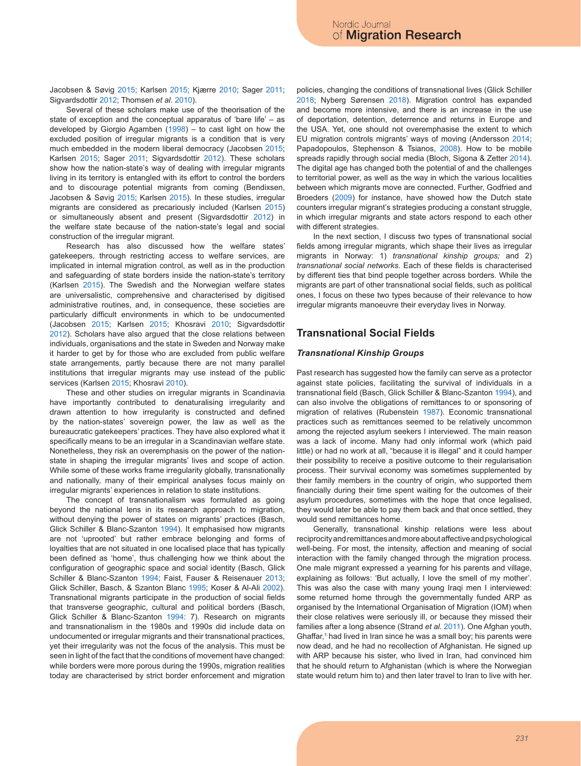Jacobsen & Søvig 2015; Karlsen 2015; Kjærre 2010; Sager 2011; Sigvardsdottir 2012; Thomsen *et al*. 2010).

Several of these scholars make use of the theorisation of the state of exception and the conceptual apparatus of 'bare life' – as developed by Giorgio Agamben (1998) – to cast light on how the excluded position of irregular migrants is a condition that is very much embedded in the modern liberal democracy (Jacobsen 2015; Karlsen 2015; Sager 2011; Sigvardsdottir 2012). These scholars show how the nation-state's way of dealing with irregular migrants living in its territory is entangled with its effort to control the borders and to discourage potential migrants from coming (Bendixsen, Jacobsen & Søvig 2015; Karlsen 2015). In these studies, irregular migrants are considered as precariously included (Karlsen 2015) or simultaneously absent and present (Sigvardsdottir 2012) in the welfare state because of the nation-state's legal and social construction of the irregular migrant.

Research has also discussed how the welfare states' gatekeepers, through restricting access to welfare services, are implicated in internal migration control, as well as in the production and safeguarding of state borders inside the nation-state's territory (Karlsen 2015). The Swedish and the Norwegian welfare states are universalistic, comprehensive and characterised by digitised administrative routines, and, in consequence, these societies are particularly difficult environments in which to be undocumented (Jacobsen 2015; Karlsen 2015; Khosravi 2010; Sigvardsdottir 2012). Scholars have also argued that the close relations between individuals, organisations and the state in Sweden and Norway make it harder to get by for those who are excluded from public welfare state arrangements, partly because there are not many parallel institutions that irregular migrants may use instead of the public services (Karlsen 2015; Khosravi 2010).

These and other studies on irregular migrants in Scandinavia have importantly contributed to denaturalising irregularity and drawn attention to how irregularity is constructed and defined by the nation-states' sovereign power, the law as well as the bureaucratic gatekeepers' practices. They have also explored what it specifically means to be an irregular in a Scandinavian welfare state. Nonetheless, they risk an overemphasis on the power of the nationstate in shaping the irregular migrants' lives and scope of action. While some of these works frame irregularity globally, transnationally and nationally, many of their empirical analyses focus mainly on irregular migrants' experiences in relation to state institutions.

The concept of transnationalism was formulated as going beyond the national lens in its research approach to migration, without denying the power of states on migrants' practices (Basch, Glick Schiller & Blanc-Szanton 1994). It emphasised how migrants are not 'uprooted' but rather embrace belonging and forms of loyalties that are not situated in one localised place that has typically been defined as 'home', thus challenging how we think about the configuration of geographic space and social identity (Basch, Glick Schiller & Blanc-Szanton 1994; Faist, Fauser & Reisenauer 2013; Glick Schiller, Basch, & Szanton Blanc 1995; Koser & Al-Ali 2002). Transnational migrants participate in the production of social fields that transverse geographic, cultural and political borders (Basch, Glick Schiller & Blanc-Szanton 1994: 7). Research on migrants and transnationalism in the 1980s and 1990s did include data on undocumented or irregular migrants and their transnational practices, yet their irregularity was not the focus of the analysis. This must be seen in light of the fact that the conditions of movement have changed: while borders were more porous during the 1990s, migration realities today are characterised by strict border enforcement and migration

policies, changing the conditions of transnational lives (Glick Schiller 2018; Nyberg Sørensen 2018). Migration control has expanded and become more intensive, and there is an increase in the use of deportation, detention, deterrence and returns in Europe and the USA. Yet, one should not overemphasise the extent to which EU migration controls migrants' ways of moving (Andersson 2014; Papadopoulos, Stephenson & Tsianos, 2008). How to be mobile spreads rapidly through social media (Bloch, Sigona & Zetter 2014). The digital age has changed both the potential of and the challenges to territorial power, as well as the way in which the various localities between which migrants move are connected. Further, Godfried and Broeders (2009) for instance, have showed how the Dutch state counters irregular migrant's strategies producing a constant struggle, in which irregular migrants and state actors respond to each other with different strategies.

In the next section, I discuss two types of transnational social fields among irregular migrants, which shape their lives as irregular migrants in Norway: 1) *transnational kinship groups;* and 2) *transnational social networks*. Each of these fields is characterised by different ties that bind people together across borders. While the migrants are part of other transnational social fields, such as political ones, I focus on these two types because of their relevance to how irregular migrants manoeuvre their everyday lives in Norway.

### **Transnational Social Fields**

#### *Transnational Kinship Groups*

Past research has suggested how the family can serve as a protector against state policies, facilitating the survival of individuals in a transnational field (Basch, Glick Schiller & Blanc-Szanton 1994), and can also involve the obligations of remittances to or sponsoring of migration of relatives (Rubenstein 1987). Economic transnational practices such as remittances seemed to be relatively uncommon among the rejected asylum seekers I interviewed. The main reason was a lack of income. Many had only informal work (which paid little) or had no work at all, "because it is illegal" and it could hamper their possibility to receive a positive outcome to their regularisation process. Their survival economy was sometimes supplemented by their family members in the country of origin, who supported them financially during their time spent waiting for the outcomes of their asylum procedures, sometimes with the hope that once legalised, they would later be able to pay them back and that once settled, they would send remittances home.

Generally, transnational kinship relations were less about reciprocity and remittances and more about affective and psychological well-being. For most, the intensity, affection and meaning of social interaction with the family changed through the migration process. One male migrant expressed a yearning for his parents and village, explaining as follows: 'But actually, I love the smell of my mother'. This was also the case with many young Iraqi men I interviewed: some returned home through the governmentally funded ARP as organised by the International Organisation of Migration (IOM) when their close relatives were seriously ill, or because they missed their families after a long absence (Strand *et al.* 2011). One Afghan youth, Ghaffar,<sup>1</sup> had lived in Iran since he was a small boy; his parents were now dead, and he had no recollection of Afghanistan. He signed up with ARP because his sister, who lived in Iran, had convinced him that he should return to Afghanistan (which is where the Norwegian state would return him to) and then later travel to Iran to live with her.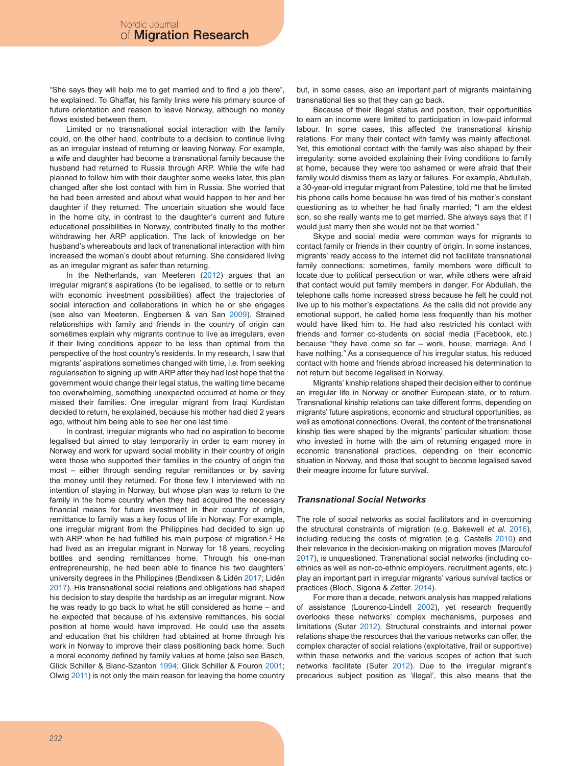"She says they will help me to get married and to find a job there", he explained. To Ghaffar, his family links were his primary source of future orientation and reason to leave Norway, although no money flows existed between them.

Limited or no transnational social interaction with the family could, on the other hand, contribute to a decision to continue living as an irregular instead of returning or leaving Norway. For example, a wife and daughter had become a transnational family because the husband had returned to Russia through ARP. While the wife had planned to follow him with their daughter some weeks later, this plan changed after she lost contact with him in Russia. She worried that he had been arrested and about what would happen to her and her daughter if they returned. The uncertain situation she would face in the home city, in contrast to the daughter's current and future educational possibilities in Norway, contributed finally to the mother withdrawing her ARP application. The lack of knowledge on her husband's whereabouts and lack of transnational interaction with him increased the woman's doubt about returning. She considered living as an irregular migrant as safer than returning.

In the Netherlands, van Meeteren (2012) argues that an irregular migrant's aspirations (to be legalised, to settle or to return with economic investment possibilities) affect the trajectories of social interaction and collaborations in which he or she engages (see also van Meeteren, Engbersen & van San 2009). Strained relationships with family and friends in the country of origin can sometimes explain why migrants continue to live as irregulars, even if their living conditions appear to be less than optimal from the perspective of the host country's residents. In my research, I saw that migrants' aspirations sometimes changed with time, i.e. from seeking regularisation to signing up with ARP after they had lost hope that the government would change their legal status, the waiting time became too overwhelming, something unexpected occurred at home or they missed their families. One irregular migrant from Iraqi Kurdistan decided to return, he explained, because his mother had died 2 years ago, without him being able to see her one last time.

In contrast, irregular migrants who had no aspiration to become legalised but aimed to stay temporarily in order to earn money in Norway and work for upward social mobility in their country of origin were those who supported their families in the country of origin the most – either through sending regular remittances or by saving the money until they returned. For those few I interviewed with no intention of staying in Norway, but whose plan was to return to the family in the home country when they had acquired the necessary financial means for future investment in their country of origin, remittance to family was a key focus of life in Norway. For example, one irregular migrant from the Philippines had decided to sign up with ARP when he had fulfilled his main purpose of migration.<sup>2</sup> He had lived as an irregular migrant in Norway for 18 years, recycling bottles and sending remittances home. Through his one-man entrepreneurship, he had been able to finance his two daughters' university degrees in the Philippines (Bendixsen & Lidén 2017; Lidén 2017). His transnational social relations and obligations had shaped his decision to stay despite the hardship as an irregular migrant. Now he was ready to go back to what he still considered as home – and he expected that because of his extensive remittances, his social position at home would have improved. He could use the assets and education that his children had obtained at home through his work in Norway to improve their class positioning back home. Such a moral economy defined by family values at home (also see Basch, Glick Schiller & Blanc-Szanton 1994; Glick Schiller & Fouron 2001; Olwig 2011) is not only the main reason for leaving the home country

but, in some cases, also an important part of migrants maintaining transnational ties so that they can go back.

Because of their illegal status and position, their opportunities to earn an income were limited to participation in low-paid informal labour. In some cases, this affected the transnational kinship relations. For many their contact with family was mainly affectional. Yet, this emotional contact with the family was also shaped by their irregularity: some avoided explaining their living conditions to family at home, because they were too ashamed or were afraid that their family would dismiss them as lazy or failures. For example, Abdullah, a 30-year-old irregular migrant from Palestine, told me that he limited his phone calls home because he was tired of his mother's constant questioning as to whether he had finally married: "I am the eldest son, so she really wants me to get married. She always says that if I would just marry then she would not be that worried."

Skype and social media were common ways for migrants to contact family or friends in their country of origin. In some instances, migrants' ready access to the Internet did not facilitate transnational family connections: sometimes, family members were difficult to locate due to political persecution or war, while others were afraid that contact would put family members in danger. For Abdullah, the telephone calls home increased stress because he felt he could not live up to his mother's expectations. As the calls did not provide any emotional support, he called home less frequently than his mother would have liked him to. He had also restricted his contact with friends and former co-students on social media (Facebook, etc.) because "they have come so far – work, house, marriage. And I have nothing." As a consequence of his irregular status, his reduced contact with home and friends abroad increased his determination to not return but become legalised in Norway.

Migrants' kinship relations shaped their decision either to continue an irregular life in Norway or another European state, or to return. Transnational kinship relations can take different forms, depending on migrants' future aspirations, economic and structural opportunities, as well as emotional connections. Overall, the content of the transnational kinship ties were shaped by the migrants' particular situation: those who invested in home with the aim of returning engaged more in economic transnational practices, depending on their economic situation in Norway, and those that sought to become legalised saved their meagre income for future survival.

#### *Transnational Social Networks*

The role of social networks as social facilitators and in overcoming the structural constraints of migration (e.g. Bakewell *et al.* 2016), including reducing the costs of migration (e.g. Castells 2010) and their relevance in the decision-making on migration moves (Maroufof 2017), is unquestioned. Transnational social networks (including coethnics as well as non-co-ethnic employers, recruitment agents, etc.) play an important part in irregular migrants' various survival tactics or practices (Bloch, Sigona & Zetter. 2014).

For more than a decade, network analysis has mapped relations of assistance (Lourenco-Lindell 2002), yet research frequently overlooks these networks' complex mechanisms, purposes and limitations (Suter 2012). Structural constraints and internal power relations shape the resources that the various networks can offer, the complex character of social relations (exploitative, frail or supportive) within these networks and the various scopes of action that such networks facilitate (Suter 2012). Due to the irregular migrant's precarious subject position as 'illegal', this also means that the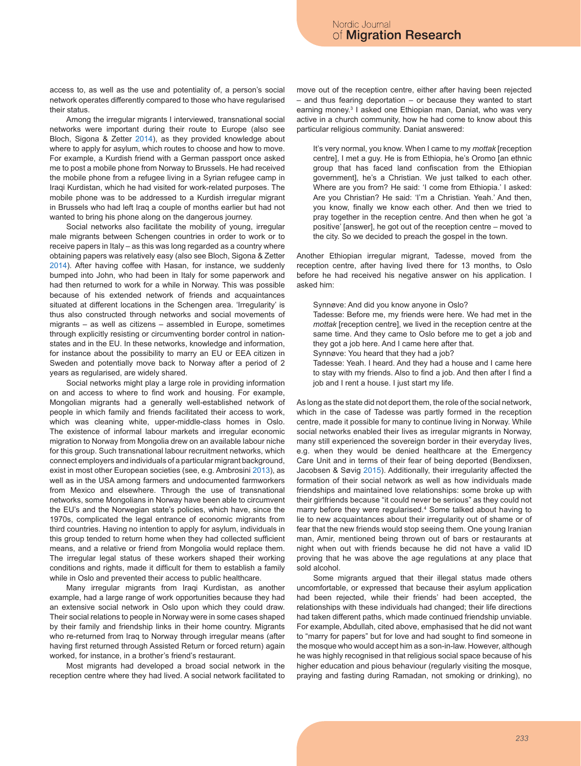access to, as well as the use and potentiality of, a person's social network operates differently compared to those who have regularised their status.

Among the irregular migrants I interviewed, transnational social networks were important during their route to Europe (also see Bloch, Sigona & Zetter 2014), as they provided knowledge about where to apply for asylum, which routes to choose and how to move. For example, a Kurdish friend with a German passport once asked me to post a mobile phone from Norway to Brussels. He had received the mobile phone from a refugee living in a Syrian refugee camp in Iraqi Kurdistan, which he had visited for work-related purposes. The mobile phone was to be addressed to a Kurdish irregular migrant in Brussels who had left Iraq a couple of months earlier but had not wanted to bring his phone along on the dangerous journey.

Social networks also facilitate the mobility of young, irregular male migrants between Schengen countries in order to work or to receive papers in Italy – as this was long regarded as a country where obtaining papers was relatively easy (also see Bloch, Sigona & Zetter 2014). After having coffee with Hasan, for instance, we suddenly bumped into John, who had been in Italy for some paperwork and had then returned to work for a while in Norway. This was possible because of his extended network of friends and acquaintances situated at different locations in the Schengen area. 'Irregularity' is thus also constructed through networks and social movements of migrants – as well as citizens – assembled in Europe, sometimes through explicitly resisting or circumventing border control in nationstates and in the EU. In these networks, knowledge and information, for instance about the possibility to marry an EU or EEA citizen in Sweden and potentially move back to Norway after a period of 2 years as regularised, are widely shared.

Social networks might play a large role in providing information on and access to where to find work and housing. For example, Mongolian migrants had a generally well-established network of people in which family and friends facilitated their access to work, which was cleaning white, upper-middle-class homes in Oslo. The existence of informal labour markets and irregular economic migration to Norway from Mongolia drew on an available labour niche for this group. Such transnational labour recruitment networks, which connect employers and individuals of a particular migrant background, exist in most other European societies (see, e.g. Ambrosini 2013), as well as in the USA among farmers and undocumented farmworkers from Mexico and elsewhere. Through the use of transnational networks, some Mongolians in Norway have been able to circumvent the EU's and the Norwegian state's policies, which have, since the 1970s, complicated the legal entrance of economic migrants from third countries. Having no intention to apply for asylum, individuals in this group tended to return home when they had collected sufficient means, and a relative or friend from Mongolia would replace them. The irregular legal status of these workers shaped their working conditions and rights, made it difficult for them to establish a family while in Oslo and prevented their access to public healthcare.

Many irregular migrants from Iraqi Kurdistan, as another example, had a large range of work opportunities because they had an extensive social network in Oslo upon which they could draw. Their social relations to people in Norway were in some cases shaped by their family and friendship links in their home country. Migrants who re-returned from Iraq to Norway through irregular means (after having first returned through Assisted Return or forced return) again worked, for instance, in a brother's friend's restaurant.

Most migrants had developed a broad social network in the reception centre where they had lived. A social network facilitated to move out of the reception centre, either after having been rejected  $-$  and thus fearing deportation  $-$  or because they wanted to start earning money.<sup>3</sup> I asked one Ethiopian man, Daniat, who was very active in a church community, how he had come to know about this particular religious community. Daniat answered:

It's very normal, you know. When I came to my *mottak* [reception centre], I met a guy. He is from Ethiopia, he's Oromo [an ethnic group that has faced land confiscation from the Ethiopian government], he's a Christian. We just talked to each other. Where are you from? He said: 'I come from Ethiopia.' I asked: Are you Christian? He said: 'I'm a Christian. Yeah.' And then, you know, finally we know each other. And then we tried to pray together in the reception centre. And then when he got 'a positive' [answer], he got out of the reception centre – moved to the city. So we decided to preach the gospel in the town.

Another Ethiopian irregular migrant, Tadesse, moved from the reception centre, after having lived there for 13 months, to Oslo before he had received his negative answer on his application. I asked him:

- Synnøve: And did you know anyone in Oslo? Tadesse: Before me, my friends were here. We had met in the *mottak* [reception centre], we lived in the reception centre at the same time. And they came to Oslo before me to get a job and
- they got a job here. And I came here after that.
- Synnøve: You heard that they had a job?
- Tadesse: Yeah. I heard. And they had a house and I came here to stay with my friends. Also to find a job. And then after I find a job and I rent a house. I just start my life.

As long as the state did not deport them, the role of the social network, which in the case of Tadesse was partly formed in the reception centre, made it possible for many to continue living in Norway. While social networks enabled their lives as irregular migrants in Norway, many still experienced the sovereign border in their everyday lives, e.g. when they would be denied healthcare at the Emergency Care Unit and in terms of their fear of being deported (Bendixsen, Jacobsen & Søvig 2015). Additionally, their irregularity affected the formation of their social network as well as how individuals made friendships and maintained love relationships: some broke up with their girlfriends because "it could never be serious" as they could not marry before they were regularised.<sup>4</sup> Some talked about having to lie to new acquaintances about their irregularity out of shame or of fear that the new friends would stop seeing them. One young Iranian man, Amir, mentioned being thrown out of bars or restaurants at night when out with friends because he did not have a valid ID proving that he was above the age regulations at any place that sold alcohol.

Some migrants argued that their illegal status made others uncomfortable, or expressed that because their asylum application had been rejected, while their friends' had been accepted, the relationships with these individuals had changed; their life directions had taken different paths, which made continued friendship unviable. For example, Abdullah, cited above, emphasised that he did not want to "marry for papers" but for love and had sought to find someone in the mosque who would accept him as a son-in-law. However, although he was highly recognised in that religious social space because of his higher education and pious behaviour (regularly visiting the mosque, praying and fasting during Ramadan, not smoking or drinking), no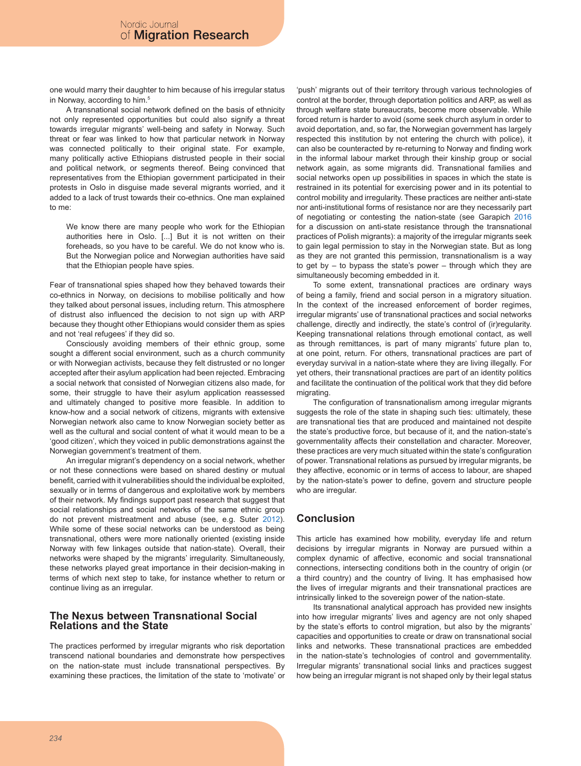one would marry their daughter to him because of his irregular status in Norway, according to him.<sup>5</sup>

A transnational social network defined on the basis of ethnicity not only represented opportunities but could also signify a threat towards irregular migrants' well-being and safety in Norway. Such threat or fear was linked to how that particular network in Norway was connected politically to their original state. For example, many politically active Ethiopians distrusted people in their social and political network, or segments thereof. Being convinced that representatives from the Ethiopian government participated in their protests in Oslo in disguise made several migrants worried, and it added to a lack of trust towards their co-ethnics. One man explained to me:

We know there are many people who work for the Ethiopian authorities here in Oslo. [...] But it is not written on their foreheads, so you have to be careful. We do not know who is. But the Norwegian police and Norwegian authorities have said that the Ethiopian people have spies.

Fear of transnational spies shaped how they behaved towards their co-ethnics in Norway, on decisions to mobilise politically and how they talked about personal issues, including return. This atmosphere of distrust also influenced the decision to not sign up with ARP because they thought other Ethiopians would consider them as spies and not 'real refugees' if they did so.

Consciously avoiding members of their ethnic group, some sought a different social environment, such as a church community or with Norwegian activists, because they felt distrusted or no longer accepted after their asylum application had been rejected. Embracing a social network that consisted of Norwegian citizens also made, for some, their struggle to have their asylum application reassessed and ultimately changed to positive more feasible. In addition to know-how and a social network of citizens, migrants with extensive Norwegian network also came to know Norwegian society better as well as the cultural and social content of what it would mean to be a 'good citizen', which they voiced in public demonstrations against the Norwegian government's treatment of them.

An irregular migrant's dependency on a social network, whether or not these connections were based on shared destiny or mutual benefit, carried with it vulnerabilities should the individual be exploited, sexually or in terms of dangerous and exploitative work by members of their network. My findings support past research that suggest that social relationships and social networks of the same ethnic group do not prevent mistreatment and abuse (see, e.g. Suter 2012). While some of these social networks can be understood as being transnational, others were more nationally oriented (existing inside Norway with few linkages outside that nation-state). Overall, their networks were shaped by the migrants' irregularity. Simultaneously, these networks played great importance in their decision-making in terms of which next step to take, for instance whether to return or continue living as an irregular.

### **The Nexus between Transnational Social Relations and the State**

The practices performed by irregular migrants who risk deportation transcend national boundaries and demonstrate how perspectives on the nation-state must include transnational perspectives. By examining these practices, the limitation of the state to 'motivate' or 'push' migrants out of their territory through various technologies of control at the border, through deportation politics and ARP, as well as through welfare state bureaucrats, become more observable. While forced return is harder to avoid (some seek church asylum in order to avoid deportation, and, so far, the Norwegian government has largely respected this institution by not entering the church with police), it can also be counteracted by re-returning to Norway and finding work in the informal labour market through their kinship group or social network again, as some migrants did. Transnational families and social networks open up possibilities in spaces in which the state is restrained in its potential for exercising power and in its potential to control mobility and irregularity. These practices are neither anti-state nor anti-institutional forms of resistance nor are they necessarily part of negotiating or contesting the nation-state (see Garapich 2016 for a discussion on anti-state resistance through the transnational practices of Polish migrants): a majority of the irregular migrants seek to gain legal permission to stay in the Norwegian state. But as long as they are not granted this permission, transnationalism is a way to get by – to bypass the state's power – through which they are simultaneously becoming embedded in it.

To some extent, transnational practices are ordinary ways of being a family, friend and social person in a migratory situation. In the context of the increased enforcement of border regimes, irregular migrants' use of transnational practices and social networks challenge, directly and indirectly, the state's control of (ir)regularity. Keeping transnational relations through emotional contact, as well as through remittances, is part of many migrants' future plan to, at one point, return. For others, transnational practices are part of everyday survival in a nation-state where they are living illegally. For yet others, their transnational practices are part of an identity politics and facilitate the continuation of the political work that they did before migrating.

The configuration of transnationalism among irregular migrants suggests the role of the state in shaping such ties: ultimately, these are transnational ties that are produced and maintained not despite the state's productive force, but because of it, and the nation-state's governmentality affects their constellation and character. Moreover, these practices are very much situated within the state's configuration of power. Transnational relations as pursued by irregular migrants, be they affective, economic or in terms of access to labour, are shaped by the nation-state's power to define, govern and structure people who are irregular.

# **Conclusion**

This article has examined how mobility, everyday life and return decisions by irregular migrants in Norway are pursued within a complex dynamic of affective, economic and social transnational connections, intersecting conditions both in the country of origin (or a third country) and the country of living. It has emphasised how the lives of irregular migrants and their transnational practices are intrinsically linked to the sovereign power of the nation-state.

Its transnational analytical approach has provided new insights into how irregular migrants' lives and agency are not only shaped by the state's efforts to control migration, but also by the migrants' capacities and opportunities to create or draw on transnational social links and networks. These transnational practices are embedded in the nation-state's technologies of control and governmentality. Irregular migrants' transnational social links and practices suggest how being an irregular migrant is not shaped only by their legal status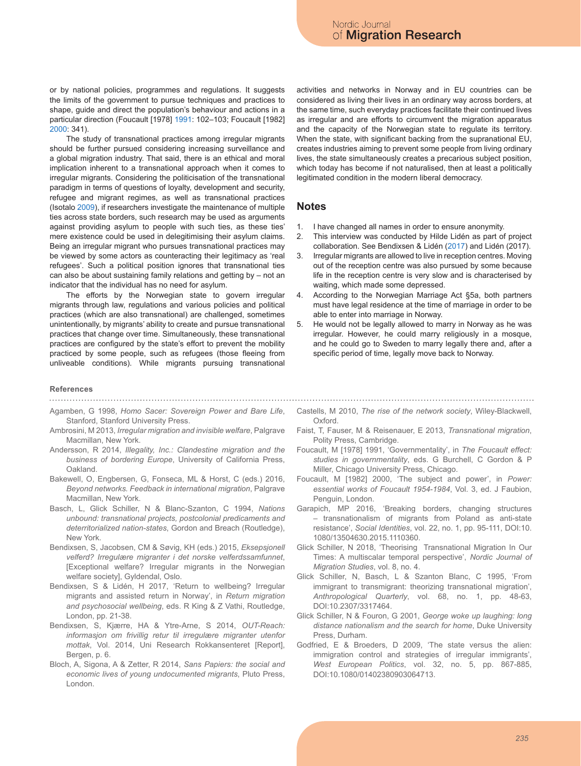or by national policies, programmes and regulations. It suggests the limits of the government to pursue techniques and practices to shape, guide and direct the population's behaviour and actions in a particular direction (Foucault [1978] 1991: 102–103; Foucault [1982] 2000: 341).

The study of transnational practices among irregular migrants should be further pursued considering increasing surveillance and a global migration industry. That said, there is an ethical and moral implication inherent to a transnational approach when it comes to irregular migrants. Considering the politicisation of the transnational paradigm in terms of questions of loyalty, development and security, refugee and migrant regimes, as well as transnational practices (Isotalo 2009), if researchers investigate the maintenance of multiple ties across state borders, such research may be used as arguments against providing asylum to people with such ties, as these ties' mere existence could be used in delegitimising their asylum claims. Being an irregular migrant who pursues transnational practices may be viewed by some actors as counteracting their legitimacy as 'real refugees'. Such a political position ignores that transnational ties can also be about sustaining family relations and getting by – not an indicator that the individual has no need for asylum.

The efforts by the Norwegian state to govern irregular migrants through law, regulations and various policies and political practices (which are also transnational) are challenged, sometimes unintentionally, by migrants' ability to create and pursue transnational practices that change over time. Simultaneously, these transnational practices are configured by the state's effort to prevent the mobility practiced by some people, such as refugees (those fleeing from unliveable conditions). While migrants pursuing transnational

#### **References**

- Agamben, G 1998, *Homo Sacer: Sovereign Power and Bare Life*, Stanford, Stanford University Press.
- Ambrosini, M 2013, *Irregular migration and invisible welfare*, Palgrave Macmillan, New York.
- Andersson, R 2014, *Illegality, Inc.: Clandestine migration and the business of bordering Europe*, University of California Press, Oakland.
- Bakewell, O, Engbersen, G, Fonseca, ML & Horst, C (eds.) 2016, *Beyond networks. Feedback in international migration*, Palgrave Macmillan, New York.
- Basch, L, Glick Schiller, N & Blanc-Szanton, C 1994, *Nations unbound: transnational projects, postcolonial predicaments and deterritorialized nation-states*, Gordon and Breach (Routledge), New York.
- Bendixsen, S, Jacobsen, CM & Søvig, KH (eds.) 2015, *Eksepsjonell velferd? Irregulære migranter i det norske velferdssamfunnet*, [Exceptional welfare? Irregular migrants in the Norwegian welfare society], Gyldendal, Oslo.
- Bendixsen, S & Lidén, H 2017, 'Return to wellbeing? Irregular migrants and assisted return in Norway', in *Return migration and psychosocial wellbeing*, eds. R King & Z Vathi, Routledge, London, pp. 21-38.
- Bendixsen, S, Kjærre, HA & Ytre-Arne, S 2014, *OUT-Reach: informasjon om frivillig retur til irregulære migranter utenfor mottak*, Vol. 2014, Uni Research Rokkansenteret [Report], Bergen, p. 6.
- Bloch, A, Sigona, A & Zetter, R 2014, *Sans Papiers: the social and economic lives of young undocumented migrants*, Pluto Press, London.

activities and networks in Norway and in EU countries can be considered as living their lives in an ordinary way across borders, at the same time, such everyday practices facilitate their continued lives as irregular and are efforts to circumvent the migration apparatus and the capacity of the Norwegian state to regulate its territory. When the state, with significant backing from the supranational EU, creates industries aiming to prevent some people from living ordinary lives, the state simultaneously creates a precarious subject position, which today has become if not naturalised, then at least a politically legitimated condition in the modern liberal democracy.

### **Notes**

- 1. I have changed all names in order to ensure anonymity.
- 2. This interview was conducted by Hilde Lidén as part of project collaboration. See Bendixsen & Lidén (2017) and Lidén (2017).
- 3. Irregular migrants are allowed to live in reception centres. Moving out of the reception centre was also pursued by some because life in the reception centre is very slow and is characterised by waiting, which made some depressed.
- 4. According to the Norwegian Marriage Act §5a, both partners must have legal residence at the time of marriage in order to be able to enter into marriage in Norway.
- 5. He would not be legally allowed to marry in Norway as he was irregular. However, he could marry religiously in a mosque, and he could go to Sweden to marry legally there and, after a specific period of time, legally move back to Norway.
- Castells, M 2010, *The rise of the network society*, Wiley-Blackwell, Oxford.
- Faist, T, Fauser, M & Reisenauer, E 2013, *Transnational migration*, Polity Press, Cambridge.
- Foucault, M [1978] 1991, 'Governmentality', in *The Foucault effect: studies in governmentality*, eds. G Burchell, C Gordon & P Miller, Chicago University Press, Chicago.
- Foucault, M [1982] 2000, 'The subject and power', in *Power: essential works of Foucault 1954-1984*, Vol. 3, ed. J Faubion, Penguin, London.
- Garapich, MP 2016, 'Breaking borders, changing structures – transnationalism of migrants from Poland as anti-state resistance', *Social Identities*, vol. 22, no. 1, pp. 95-111, DOI:10. 1080/13504630.2015.1110360.
- Glick Schiller, N 2018, 'Theorising Transnational Migration In Our Times: A multiscalar temporal perspective', *Nordic Journal of Migration Studies*, vol. 8, no. 4.
- Glick Schiller, N, Basch, L & Szanton Blanc, C 1995, 'From immigrant to transmigrant: theorizing transnational migration', *Anthropological Quarterly*, vol. 68, no. 1, pp. 48-63, DOI:10.2307/3317464.
- Glick Schiller, N & Fouron, G 2001, *George woke up laughing: long distance nationalism and the search for home*, Duke University Press, Durham.
- Godfried, E & Broeders, D 2009, 'The state versus the alien: immigration control and strategies of irregular immigrants', *West European Politics*, vol. 32, no. 5, pp. 867-885, DOI:10.1080/01402380903064713.